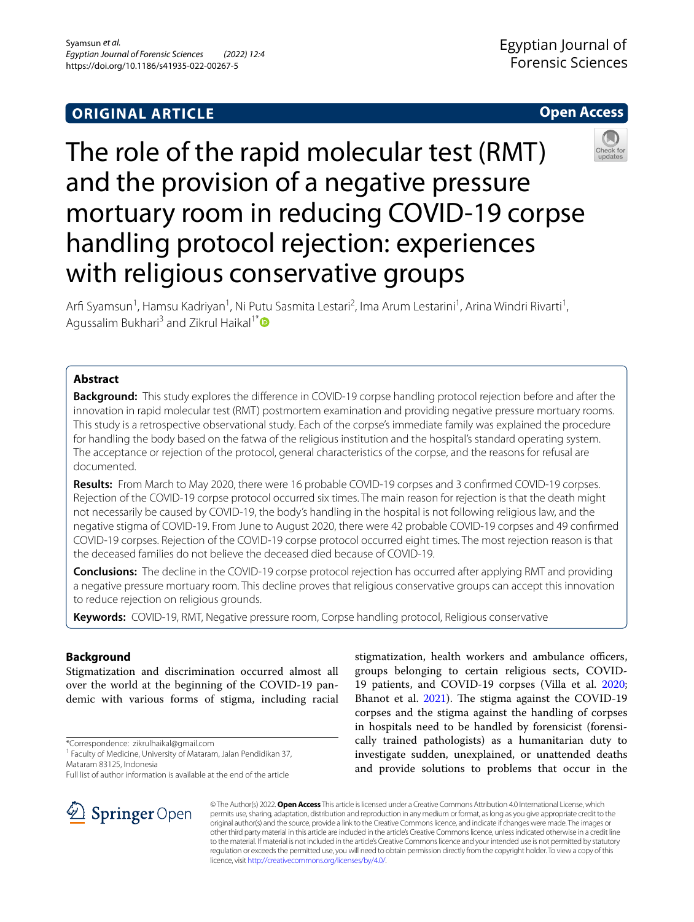# **ORIGINAL ARTICLE**



# The role of the rapid molecular test (RMT) and the provision of a negative pressure mortuary room in reducing COVID-19 corpse handling protocol rejection: experiences with religious conservative groups

Arfi Syamsun<sup>1</sup>, Hamsu Kadriyan<sup>1</sup>, Ni Putu Sasmita Lestari<sup>2</sup>, Ima Arum Lestarini<sup>1</sup>, Arina Windri Rivarti<sup>1</sup>, Agussalim Bukhari<sup>3</sup> and Zikrul Haikal<sup>1[\\*](http://orcid.org/0000-0002-5720-9230)</sup>

# **Abstract**

**Background:** This study explores the diference in COVID-19 corpse handling protocol rejection before and after the innovation in rapid molecular test (RMT) postmortem examination and providing negative pressure mortuary rooms. This study is a retrospective observational study. Each of the corpse's immediate family was explained the procedure for handling the body based on the fatwa of the religious institution and the hospital's standard operating system. The acceptance or rejection of the protocol, general characteristics of the corpse, and the reasons for refusal are documented.

**Results:** From March to May 2020, there were 16 probable COVID-19 corpses and 3 confrmed COVID-19 corpses. Rejection of the COVID-19 corpse protocol occurred six times. The main reason for rejection is that the death might not necessarily be caused by COVID-19, the body's handling in the hospital is not following religious law, and the negative stigma of COVID-19. From June to August 2020, there were 42 probable COVID-19 corpses and 49 confrmed COVID-19 corpses. Rejection of the COVID-19 corpse protocol occurred eight times. The most rejection reason is that the deceased families do not believe the deceased died because of COVID-19.

**Conclusions:** The decline in the COVID-19 corpse protocol rejection has occurred after applying RMT and providing a negative pressure mortuary room. This decline proves that religious conservative groups can accept this innovation to reduce rejection on religious grounds.

**Keywords:** COVID-19, RMT, Negative pressure room, Corpse handling protocol, Religious conservative

# **Background**

Stigmatization and discrimination occurred almost all over the world at the beginning of the COVID-19 pandemic with various forms of stigma, including racial

\*Correspondence: zikrulhaikal@gmail.com

<sup>1</sup> Faculty of Medicine, University of Mataram, Jalan Pendidikan 37, Mataram 83125, Indonesia

Full list of author information is available at the end of the article

stigmatization, health workers and ambulance officers, groups belonging to certain religious sects, COVID-19 patients, and COVID-19 corpses (Villa et al. [2020](#page-4-0); Bhanot et al. [2021](#page-4-1)). The stigma against the COVID-19 corpses and the stigma against the handling of corpses in hospitals need to be handled by forensicist (forensically trained pathologists) as a humanitarian duty to investigate sudden, unexplained, or unattended deaths and provide solutions to problems that occur in the



© The Author(s) 2022. **Open Access** This article is licensed under a Creative Commons Attribution 4.0 International License, which permits use, sharing, adaptation, distribution and reproduction in any medium or format, as long as you give appropriate credit to the original author(s) and the source, provide a link to the Creative Commons licence, and indicate if changes were made. The images or other third party material in this article are included in the article's Creative Commons licence, unless indicated otherwise in a credit line to the material. If material is not included in the article's Creative Commons licence and your intended use is not permitted by statutory regulation or exceeds the permitted use, you will need to obtain permission directly from the copyright holder. To view a copy of this licence, visit [http://creativecommons.org/licenses/by/4.0/.](http://creativecommons.org/licenses/by/4.0/)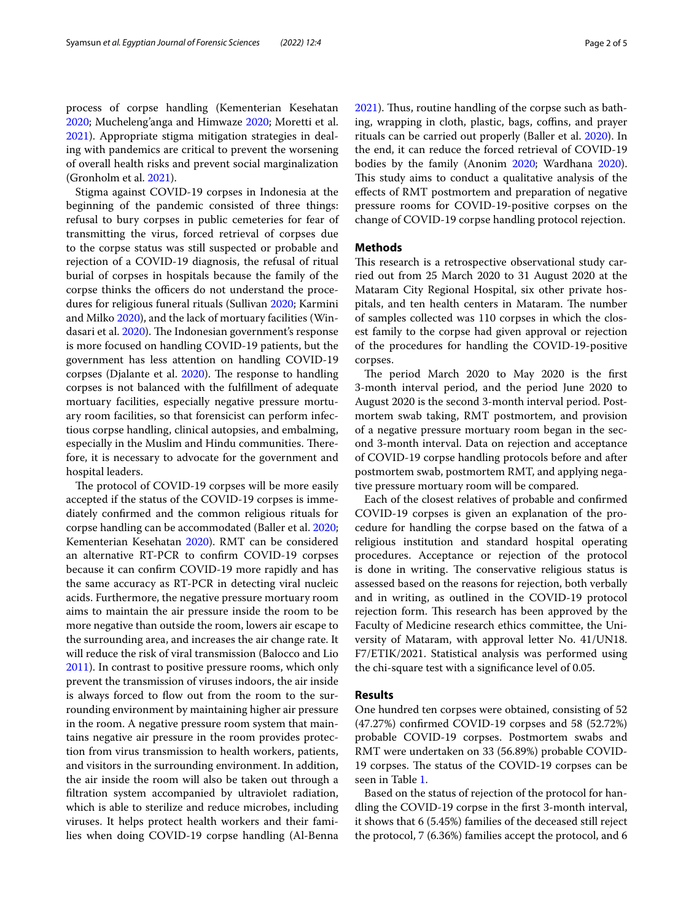process of corpse handling (Kementerian Kesehatan [2020](#page-4-2); Mucheleng'anga and Himwaze [2020;](#page-4-3) Moretti et al. [2021](#page-4-4)). Appropriate stigma mitigation strategies in dealing with pandemics are critical to prevent the worsening of overall health risks and prevent social marginalization (Gronholm et al. [2021](#page-4-5)).

Stigma against COVID-19 corpses in Indonesia at the beginning of the pandemic consisted of three things: refusal to bury corpses in public cemeteries for fear of transmitting the virus, forced retrieval of corpses due to the corpse status was still suspected or probable and rejection of a COVID-19 diagnosis, the refusal of ritual burial of corpses in hospitals because the family of the corpse thinks the officers do not understand the procedures for religious funeral rituals (Sullivan [2020;](#page-4-6) Karmini and Milko [2020](#page-4-7)), and the lack of mortuary facilities (Win-dasari et al. [2020](#page-4-8)). The Indonesian government's response is more focused on handling COVID-19 patients, but the government has less attention on handling COVID-19 corpses (Djalante et al. [2020](#page-4-9)). The response to handling corpses is not balanced with the fulfllment of adequate mortuary facilities, especially negative pressure mortuary room facilities, so that forensicist can perform infectious corpse handling, clinical autopsies, and embalming, especially in the Muslim and Hindu communities. Therefore, it is necessary to advocate for the government and hospital leaders.

The protocol of COVID-19 corpses will be more easily accepted if the status of the COVID-19 corpses is immediately confrmed and the common religious rituals for corpse handling can be accommodated (Baller et al. [2020](#page-3-0); Kementerian Kesehatan [2020](#page-4-2)). RMT can be considered an alternative RT-PCR to confrm COVID-19 corpses because it can confrm COVID-19 more rapidly and has the same accuracy as RT-PCR in detecting viral nucleic acids. Furthermore, the negative pressure mortuary room aims to maintain the air pressure inside the room to be more negative than outside the room, lowers air escape to the surrounding area, and increases the air change rate. It will reduce the risk of viral transmission (Balocco and Lio [2011](#page-4-10)). In contrast to positive pressure rooms, which only prevent the transmission of viruses indoors, the air inside is always forced to flow out from the room to the surrounding environment by maintaining higher air pressure in the room. A negative pressure room system that maintains negative air pressure in the room provides protection from virus transmission to health workers, patients, and visitors in the surrounding environment. In addition, the air inside the room will also be taken out through a fltration system accompanied by ultraviolet radiation, which is able to sterilize and reduce microbes, including viruses. It helps protect health workers and their families when doing COVID-19 corpse handling (Al-Benna [2021](#page-3-1)). Thus, routine handling of the corpse such as bathing, wrapping in cloth, plastic, bags, coffins, and prayer rituals can be carried out properly (Baller et al. [2020\)](#page-3-0). In the end, it can reduce the forced retrieval of COVID-19 bodies by the family (Anonim [2020](#page-3-2); Wardhana [2020](#page-4-11)). This study aims to conduct a qualitative analysis of the efects of RMT postmortem and preparation of negative pressure rooms for COVID-19-positive corpses on the change of COVID-19 corpse handling protocol rejection.

## **Methods**

This research is a retrospective observational study carried out from 25 March 2020 to 31 August 2020 at the Mataram City Regional Hospital, six other private hospitals, and ten health centers in Mataram. The number of samples collected was 110 corpses in which the closest family to the corpse had given approval or rejection of the procedures for handling the COVID-19-positive corpses.

The period March 2020 to May 2020 is the first 3-month interval period, and the period June 2020 to August 2020 is the second 3-month interval period. Postmortem swab taking, RMT postmortem, and provision of a negative pressure mortuary room began in the second 3-month interval. Data on rejection and acceptance of COVID-19 corpse handling protocols before and after postmortem swab, postmortem RMT, and applying negative pressure mortuary room will be compared.

Each of the closest relatives of probable and confrmed COVID-19 corpses is given an explanation of the procedure for handling the corpse based on the fatwa of a religious institution and standard hospital operating procedures. Acceptance or rejection of the protocol is done in writing. The conservative religious status is assessed based on the reasons for rejection, both verbally and in writing, as outlined in the COVID-19 protocol rejection form. This research has been approved by the Faculty of Medicine research ethics committee, the University of Mataram, with approval letter No. 41/UN18. F7/ETIK/2021. Statistical analysis was performed using the chi-square test with a signifcance level of 0.05.

## **Results**

One hundred ten corpses were obtained, consisting of 52 (47.27%) confrmed COVID-19 corpses and 58 (52.72%) probable COVID-19 corpses. Postmortem swabs and RMT were undertaken on 33 (56.89%) probable COVID-19 corpses. The status of the COVID-19 corpses can be seen in Table [1](#page-2-0).

Based on the status of rejection of the protocol for handling the COVID-19 corpse in the frst 3-month interval, it shows that 6 (5.45%) families of the deceased still reject the protocol, 7 (6.36%) families accept the protocol, and 6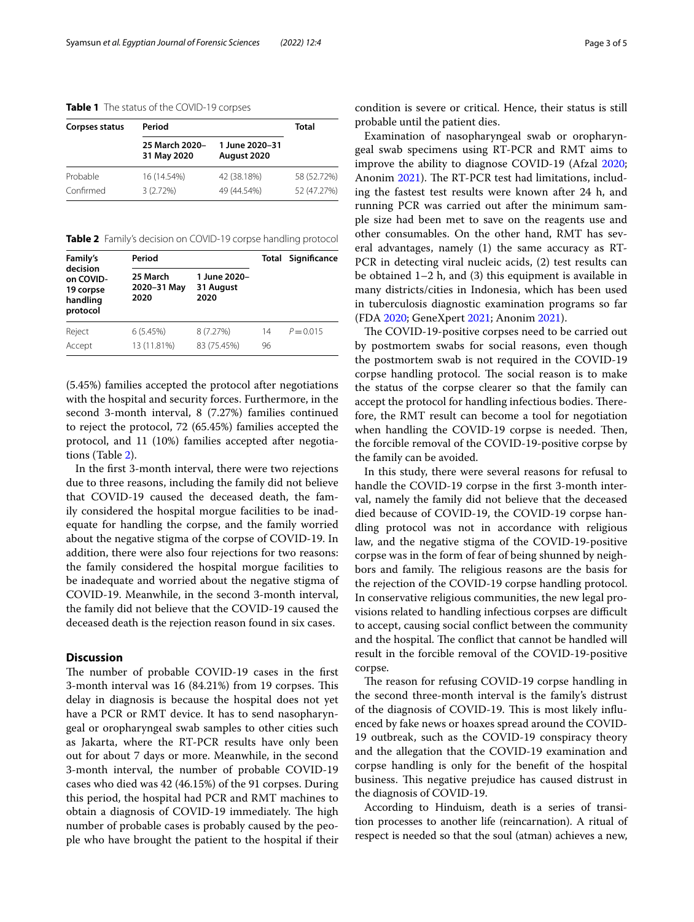## <span id="page-2-0"></span>**Table 1** The status of the COVID-19 corpses

| <b>Corpses status</b> | Period                        |                               | Total       |
|-----------------------|-------------------------------|-------------------------------|-------------|
|                       | 25 March 2020-<br>31 May 2020 | 1 June 2020-31<br>August 2020 |             |
| Probable              | 16 (14.54%)                   | 42 (38.18%)                   | 58 (52.72%) |
| Confirmed             | $3(2.72\%)$                   | 49 (44.54%)                   | 52 (47.27%) |

<span id="page-2-1"></span>**Table 2** Family's decision on COVID-19 corpse handling protocol

| Family's<br>decision<br>on COVID-<br>19 corpse<br>handling<br>protocol | Period                          |                                   |          | <b>Total Significance</b> |
|------------------------------------------------------------------------|---------------------------------|-----------------------------------|----------|---------------------------|
|                                                                        | 25 March<br>2020-31 May<br>2020 | 1 June 2020-<br>31 August<br>2020 |          |                           |
| Reject<br>Accept                                                       | 6(5.45%)<br>13 (11.81%)         | 8 (7.27%)<br>83 (75.45%)          | 14<br>96 | $P = 0.015$               |

(5.45%) families accepted the protocol after negotiations with the hospital and security forces. Furthermore, in the second 3-month interval, 8 (7.27%) families continued to reject the protocol, 72 (65.45%) families accepted the protocol, and 11 (10%) families accepted after negotiations (Table [2](#page-2-1)).

In the frst 3-month interval, there were two rejections due to three reasons, including the family did not believe that COVID-19 caused the deceased death, the family considered the hospital morgue facilities to be inadequate for handling the corpse, and the family worried about the negative stigma of the corpse of COVID-19. In addition, there were also four rejections for two reasons: the family considered the hospital morgue facilities to be inadequate and worried about the negative stigma of COVID-19. Meanwhile, in the second 3-month interval, the family did not believe that the COVID-19 caused the deceased death is the rejection reason found in six cases.

# **Discussion**

The number of probable COVID-19 cases in the first 3-month interval was 16 (84.21%) from 19 corpses. This delay in diagnosis is because the hospital does not yet have a PCR or RMT device. It has to send nasopharyngeal or oropharyngeal swab samples to other cities such as Jakarta, where the RT-PCR results have only been out for about 7 days or more. Meanwhile, in the second 3-month interval, the number of probable COVID-19 cases who died was 42 (46.15%) of the 91 corpses. During this period, the hospital had PCR and RMT machines to obtain a diagnosis of COVID-19 immediately. The high number of probable cases is probably caused by the people who have brought the patient to the hospital if their condition is severe or critical. Hence, their status is still probable until the patient dies.

Examination of nasopharyngeal swab or oropharyngeal swab specimens using RT-PCR and RMT aims to improve the ability to diagnose COVID-19 (Afzal [2020](#page-3-3); Anonim [2021](#page-3-4)). The RT-PCR test had limitations, including the fastest test results were known after 24 h, and running PCR was carried out after the minimum sample size had been met to save on the reagents use and other consumables. On the other hand, RMT has several advantages, namely (1) the same accuracy as RT-PCR in detecting viral nucleic acids, (2) test results can be obtained 1–2 h, and (3) this equipment is available in many districts/cities in Indonesia, which has been used in tuberculosis diagnostic examination programs so far (FDA [2020](#page-4-12); GeneXpert [2021](#page-4-13); Anonim [2021](#page-3-4)).

The COVID-19-positive corpses need to be carried out by postmortem swabs for social reasons, even though the postmortem swab is not required in the COVID-19 corpse handling protocol. The social reason is to make the status of the corpse clearer so that the family can accept the protocol for handling infectious bodies. Therefore, the RMT result can become a tool for negotiation when handling the COVID-19 corpse is needed. Then, the forcible removal of the COVID-19-positive corpse by the family can be avoided.

In this study, there were several reasons for refusal to handle the COVID-19 corpse in the frst 3-month interval, namely the family did not believe that the deceased died because of COVID-19, the COVID-19 corpse handling protocol was not in accordance with religious law, and the negative stigma of the COVID-19-positive corpse was in the form of fear of being shunned by neighbors and family. The religious reasons are the basis for the rejection of the COVID-19 corpse handling protocol. In conservative religious communities, the new legal provisions related to handling infectious corpses are difficult to accept, causing social confict between the community and the hospital. The conflict that cannot be handled will result in the forcible removal of the COVID-19-positive corpse.

The reason for refusing COVID-19 corpse handling in the second three-month interval is the family's distrust of the diagnosis of COVID-19. This is most likely influenced by fake news or hoaxes spread around the COVID-19 outbreak, such as the COVID-19 conspiracy theory and the allegation that the COVID-19 examination and corpse handling is only for the beneft of the hospital business. This negative prejudice has caused distrust in the diagnosis of COVID-19.

According to Hinduism, death is a series of transition processes to another life (reincarnation). A ritual of respect is needed so that the soul (atman) achieves a new,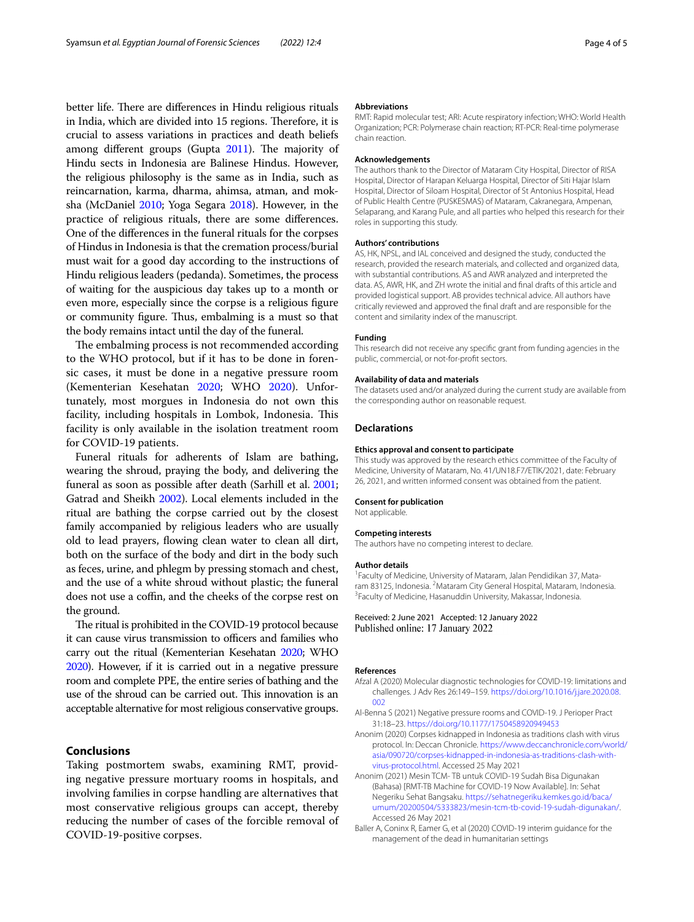better life. There are differences in Hindu religious rituals in India, which are divided into 15 regions. Therefore, it is crucial to assess variations in practices and death beliefs among different groups (Gupta  $2011$ ). The majority of Hindu sects in Indonesia are Balinese Hindus. However, the religious philosophy is the same as in India, such as reincarnation, karma, dharma, ahimsa, atman, and moksha (McDaniel [2010;](#page-4-15) Yoga Segara [2018](#page-4-16)). However, in the practice of religious rituals, there are some diferences. One of the diferences in the funeral rituals for the corpses of Hindus in Indonesia is that the cremation process/burial must wait for a good day according to the instructions of Hindu religious leaders (pedanda). Sometimes, the process of waiting for the auspicious day takes up to a month or even more, especially since the corpse is a religious fgure or community figure. Thus, embalming is a must so that the body remains intact until the day of the funeral.

The embalming process is not recommended according to the WHO protocol, but if it has to be done in forensic cases, it must be done in a negative pressure room (Kementerian Kesehatan [2020](#page-4-2); WHO [2020](#page-4-17)). Unfortunately, most morgues in Indonesia do not own this facility, including hospitals in Lombok, Indonesia. This facility is only available in the isolation treatment room for COVID-19 patients.

Funeral rituals for adherents of Islam are bathing, wearing the shroud, praying the body, and delivering the funeral as soon as possible after death (Sarhill et al. [2001](#page-4-18); Gatrad and Sheikh [2002\)](#page-4-19). Local elements included in the ritual are bathing the corpse carried out by the closest family accompanied by religious leaders who are usually old to lead prayers, fowing clean water to clean all dirt, both on the surface of the body and dirt in the body such as feces, urine, and phlegm by pressing stomach and chest, and the use of a white shroud without plastic; the funeral does not use a coffin, and the cheeks of the corpse rest on the ground.

The ritual is prohibited in the COVID-19 protocol because it can cause virus transmission to officers and families who carry out the ritual (Kementerian Kesehatan [2020;](#page-4-2) WHO [2020](#page-4-17)). However, if it is carried out in a negative pressure room and complete PPE, the entire series of bathing and the use of the shroud can be carried out. This innovation is an acceptable alternative for most religious conservative groups.

# **Conclusions**

Taking postmortem swabs, examining RMT, providing negative pressure mortuary rooms in hospitals, and involving families in corpse handling are alternatives that most conservative religious groups can accept, thereby reducing the number of cases of the forcible removal of COVID-19-positive corpses.

#### **Abbreviations**

RMT: Rapid molecular test; ARI: Acute respiratory infection; WHO: World Health Organization; PCR: Polymerase chain reaction; RT-PCR: Real-time polymerase chain reaction.

#### **Acknowledgements**

The authors thank to the Director of Mataram City Hospital, Director of RISA Hospital, Director of Harapan Keluarga Hospital, Director of Siti Hajar Islam Hospital, Director of Siloam Hospital, Director of St Antonius Hospital, Head of Public Health Centre (PUSKESMAS) of Mataram, Cakranegara, Ampenan, Selaparang, and Karang Pule, and all parties who helped this research for their roles in supporting this study.

#### **Authors' contributions**

AS, HK, NPSL, and IAL conceived and designed the study, conducted the research, provided the research materials, and collected and organized data, with substantial contributions. AS and AWR analyzed and interpreted the data. AS, AWR, HK, and ZH wrote the initial and fnal drafts of this article and provided logistical support. AB provides technical advice. All authors have critically reviewed and approved the fnal draft and are responsible for the content and similarity index of the manuscript.

#### **Funding**

This research did not receive any specifc grant from funding agencies in the public, commercial, or not-for-proft sectors.

#### **Availability of data and materials**

The datasets used and/or analyzed during the current study are available from the corresponding author on reasonable request.

## **Declarations**

#### **Ethics approval and consent to participate**

This study was approved by the research ethics committee of the Faculty of Medicine, University of Mataram, No. 41/UN18.F7/ETIK/2021, date: February 26, 2021, and written informed consent was obtained from the patient.

## **Consent for publication**

Not applicable.

#### **Competing interests**

The authors have no competing interest to declare.

#### **Author details**

<sup>1</sup> Faculty of Medicine, University of Mataram, Jalan Pendidikan 37, Mataram 83125, Indonesia. <sup>2</sup> Mataram City General Hospital, Mataram, Indonesia.<br><sup>3</sup> Faculty of Medicine. Has anuddin University, Makassar, Indonesia. <sup>3</sup> Faculty of Medicine, Hasanuddin University, Makassar, Indonesia.

## Received: 2 June 2021 Accepted: 12 January 2022 Published online: 17 January 2022

#### **References**

- <span id="page-3-3"></span>Afzal A (2020) Molecular diagnostic technologies for COVID-19: limitations and challenges. J Adv Res 26:149–159. [https://doi.org/10.1016/j.jare.2020.08.](https://doi.org/10.1016/j.jare.2020.08.002)  $002$
- <span id="page-3-1"></span>Al-Benna S (2021) Negative pressure rooms and COVID-19. J Perioper Pract 31:18–23. <https://doi.org/10.1177/1750458920949453>
- <span id="page-3-2"></span>Anonim (2020) Corpses kidnapped in Indonesia as traditions clash with virus protocol. In: Deccan Chronicle. [https://www.deccanchronicle.com/world/](https://www.deccanchronicle.com/world/asia/090720/corpses-kidnapped-in-indonesia-as-traditions-clash-with-virus-protocol.html) [asia/090720/corpses-kidnapped-in-indonesia-as-traditions-clash-with](https://www.deccanchronicle.com/world/asia/090720/corpses-kidnapped-in-indonesia-as-traditions-clash-with-virus-protocol.html)[virus-protocol.html.](https://www.deccanchronicle.com/world/asia/090720/corpses-kidnapped-in-indonesia-as-traditions-clash-with-virus-protocol.html) Accessed 25 May 2021
- <span id="page-3-4"></span>Anonim (2021) Mesin TCM- TB untuk COVID-19 Sudah Bisa Digunakan (Bahasa) [RMT-TB Machine for COVID-19 Now Available]. In: Sehat Negeriku Sehat Bangsaku. [https://sehatnegeriku.kemkes.go.id/baca/](https://sehatnegeriku.kemkes.go.id/baca/umum/20200504/5333823/mesin-tcm-tb-covid-19-sudah-digunakan/) [umum/20200504/5333823/mesin-tcm-tb-covid-19-sudah-digunakan/.](https://sehatnegeriku.kemkes.go.id/baca/umum/20200504/5333823/mesin-tcm-tb-covid-19-sudah-digunakan/) Accessed 26 May 2021
- <span id="page-3-0"></span>Baller A, Coninx R, Eamer G, et al (2020) COVID-19 interim guidance for the management of the dead in humanitarian settings